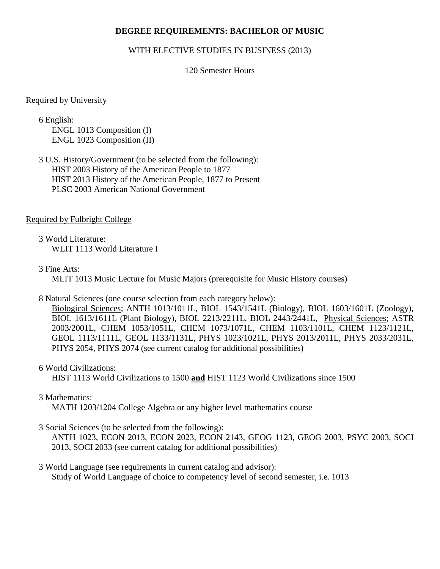#### **DEGREE REQUIREMENTS: BACHELOR OF MUSIC**

#### WITH ELECTIVE STUDIES IN BUSINESS (2013)

#### 120 Semester Hours

#### Required by University

6 English: ENGL 1013 Composition (I) ENGL 1023 Composition (II)

3 U.S. History/Government (to be selected from the following): HIST 2003 History of the American People to 1877 HIST 2013 History of the American People, 1877 to Present PLSC 2003 American National Government

#### Required by Fulbright College

3 World Literature: WLIT 1113 World Literature I

#### 3 Fine Arts:

MLIT 1013 Music Lecture for Music Majors (prerequisite for Music History courses)

#### 8 Natural Sciences (one course selection from each category below):

Biological Sciences; ANTH 1013/1011L, BIOL 1543/1541L (Biology), BIOL 1603/1601L (Zoology), BIOL 1613/1611L (Plant Biology), BIOL 2213/2211L, BIOL 2443/2441L, Physical Sciences; ASTR 2003/2001L, CHEM 1053/1051L, CHEM 1073/1071L, CHEM 1103/1101L, CHEM 1123/1121L, GEOL 1113/1111L, GEOL 1133/1131L, PHYS 1023/1021L, PHYS 2013/2011L, PHYS 2033/2031L, PHYS 2054, PHYS 2074 (see current catalog for additional possibilities)

#### 6 World Civilizations:

HIST 1113 World Civilizations to 1500 **and** HIST 1123 World Civilizations since 1500

### 3 Mathematics:

MATH 1203/1204 College Algebra or any higher level mathematics course

### 3 Social Sciences (to be selected from the following):

ANTH 1023, ECON 2013, ECON 2023, ECON 2143, GEOG 1123, GEOG 2003, PSYC 2003, SOCI 2013, SOCI 2033 (see current catalog for additional possibilities)

#### 3 World Language (see requirements in current catalog and advisor): Study of World Language of choice to competency level of second semester, i.e. 1013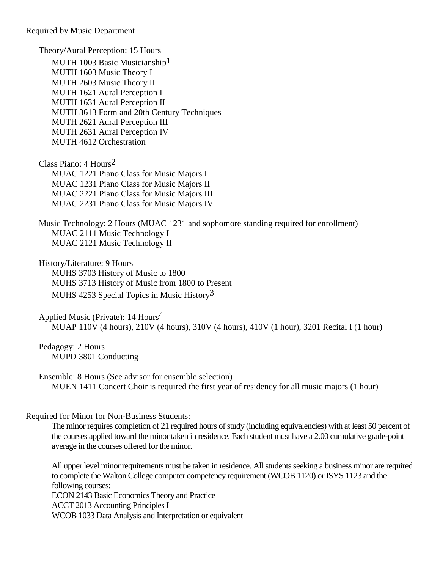Theory/Aural Perception: 15 Hours MUTH 1003 Basic Musicianship<sup>1</sup> MUTH 1603 Music Theory I MUTH 2603 Music Theory II MUTH 1621 Aural Perception I MUTH 1631 Aural Perception II MUTH 3613 Form and 20th Century Techniques MUTH 2621 Aural Perception III MUTH 2631 Aural Perception IV MUTH 4612 Orchestration

Class Piano: 4 Hours2 MUAC 1221 Piano Class for Music Majors I MUAC 1231 Piano Class for Music Majors II MUAC 2221 Piano Class for Music Majors III MUAC 2231 Piano Class for Music Majors IV

Music Technology: 2 Hours (MUAC 1231 and sophomore standing required for enrollment) MUAC 2111 Music Technology I MUAC 2121 Music Technology II

History/Literature: 9 Hours MUHS 3703 History of Music to 1800 MUHS 3713 History of Music from 1800 to Present MUHS 4253 Special Topics in Music History<sup>3</sup>

Applied Music (Private): 14 Hours4 MUAP 110V (4 hours), 210V (4 hours), 310V (4 hours), 410V (1 hour), 3201 Recital I (1 hour)

Pedagogy: 2 Hours MUPD 3801 Conducting

Ensemble: 8 Hours (See advisor for ensemble selection) MUEN 1411 Concert Choir is required the first year of residency for all music majors (1 hour)

## Required for Minor for Non-Business Students:

The minor requires completion of 21 required hours of study (including equivalencies) with at least 50 percent of the courses applied toward the minor taken in residence. Each student must have a 2.00 cumulative grade-point average in the courses offered for the minor.

All upper level minor requirements must be taken in residence. All students seeking a business minor are required to complete the Walton College computer competency requirement (WCOB 1120) or ISYS 1123 and the following courses: ECON 2143 Basic Economics Theory and Practice ACCT 2013 Accounting Principles I WCOB 1033 Data Analysis and Interpretation or equivalent